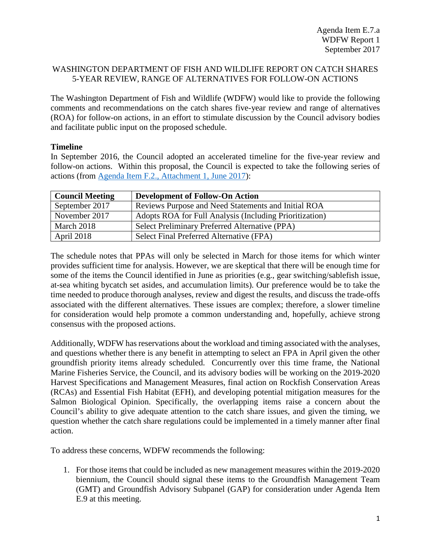## WASHINGTON DEPARTMENT OF FISH AND WILDLIFE REPORT ON CATCH SHARES 5-YEAR REVIEW, RANGE OF ALTERNATIVES FOR FOLLOW-ON ACTIONS

The Washington Department of Fish and Wildlife (WDFW) would like to provide the following comments and recommendations on the catch shares five-year review and range of alternatives (ROA) for follow-on actions, in an effort to stimulate discussion by the Council advisory bodies and facilitate public input on the proposed schedule.

## **Timeline**

In September 2016, the Council adopted an accelerated timeline for the five-year review and follow-on actions. Within this proposal, the Council is expected to take the following series of actions (from [Agenda Item F.2., Attachment 1, June 2017\)](http://www.pcouncil.org/wp-content/uploads/2017/05/F2_Att1_ReviewCalendar_JUN2017BB.pdf):

| <b>Council Meeting</b> | <b>Development of Follow-On Action</b>                  |
|------------------------|---------------------------------------------------------|
| September 2017         | Reviews Purpose and Need Statements and Initial ROA     |
| November 2017          | Adopts ROA for Full Analysis (Including Prioritization) |
| March 2018             | Select Preliminary Preferred Alternative (PPA)          |
| April 2018             | Select Final Preferred Alternative (FPA)                |

The schedule notes that PPAs will only be selected in March for those items for which winter provides sufficient time for analysis. However, we are skeptical that there will be enough time for some of the items the Council identified in June as priorities (e.g., gear switching/sablefish issue, at-sea whiting bycatch set asides, and accumulation limits). Our preference would be to take the time needed to produce thorough analyses, review and digest the results, and discuss the trade-offs associated with the different alternatives. These issues are complex; therefore, a slower timeline for consideration would help promote a common understanding and, hopefully, achieve strong consensus with the proposed actions.

Additionally, WDFW has reservations about the workload and timing associated with the analyses, and questions whether there is any benefit in attempting to select an FPA in April given the other groundfish priority items already scheduled. Concurrently over this time frame, the National Marine Fisheries Service, the Council, and its advisory bodies will be working on the 2019-2020 Harvest Specifications and Management Measures, final action on Rockfish Conservation Areas (RCAs) and Essential Fish Habitat (EFH), and developing potential mitigation measures for the Salmon Biological Opinion. Specifically, the overlapping items raise a concern about the Council's ability to give adequate attention to the catch share issues, and given the timing, we question whether the catch share regulations could be implemented in a timely manner after final action.

To address these concerns, WDFW recommends the following:

1. For those items that could be included as new management measures within the 2019-2020 biennium, the Council should signal these items to the Groundfish Management Team (GMT) and Groundfish Advisory Subpanel (GAP) for consideration under Agenda Item E.9 at this meeting.